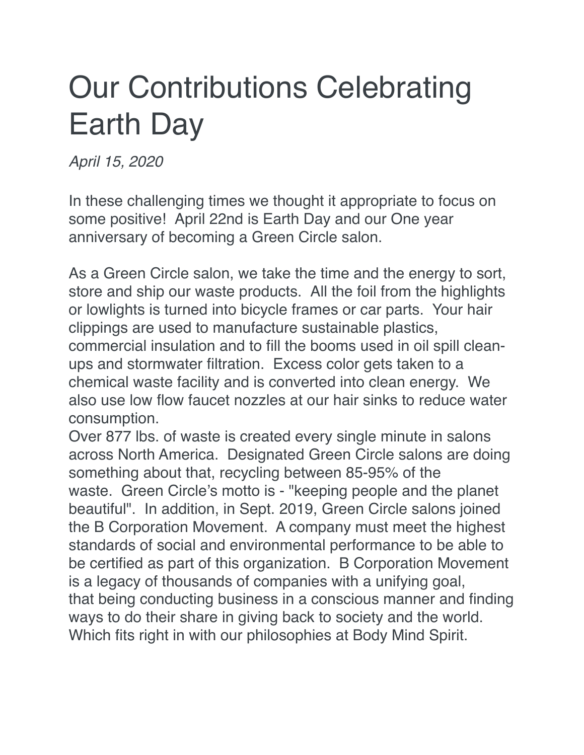## Our Contributions Celebrating Earth Day

*April 15, 2020*

In these challenging times we thought it appropriate to focus on some positive! April 22nd is Earth Day and our One year anniversary of becoming a Green Circle salon.

As a Green Circle salon, we take the time and the energy to sort, store and ship our waste products. All the foil from the highlights or lowlights is turned into bicycle frames or car parts. Your hair clippings are used to manufacture sustainable plastics, commercial insulation and to fill the booms used in oil spill cleanups and stormwater filtration. Excess color gets taken to a chemical waste facility and is converted into clean energy. We also use low flow faucet nozzles at our hair sinks to reduce water consumption.

Over 877 lbs. of waste is created every single minute in salons across North America. Designated Green Circle salons are doing something about that, recycling between 85-95% of the waste. Green Circle's motto is - "keeping people and the planet beautiful". In addition, in Sept. 2019, Green Circle salons joined the B Corporation Movement. A company must meet the highest standards of social and environmental performance to be able to be certified as part of this organization. B Corporation Movement is a legacy of thousands of companies with a unifying goal, that being conducting business in a conscious manner and finding ways to do their share in giving back to society and the world. Which fits right in with our philosophies at Body Mind Spirit.